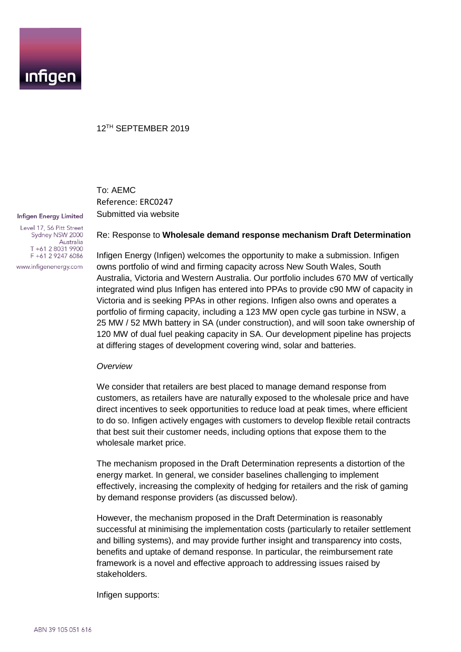

#### 12TH SEPTEMBER 2019

# To: AEMC Reference: ERC0247 Submitted via website

**Infigen Energy Limited** Level 17, 56 Pitt Street Sydney NSW 2000

Australia T +61 2 8031 9900 F +61 2 9247 6086 www.infigenenergy.com

Re: Response to **Wholesale demand response mechanism Draft Determination**

Infigen Energy (Infigen) welcomes the opportunity to make a submission. Infigen owns portfolio of wind and firming capacity across New South Wales, South Australia, Victoria and Western Australia. Our portfolio includes 670 MW of vertically integrated wind plus Infigen has entered into PPAs to provide c90 MW of capacity in Victoria and is seeking PPAs in other regions. Infigen also owns and operates a portfolio of firming capacity, including a 123 MW open cycle gas turbine in NSW, a 25 MW / 52 MWh battery in SA (under construction), and will soon take ownership of 120 MW of dual fuel peaking capacity in SA. Our development pipeline has projects at differing stages of development covering wind, solar and batteries.

#### *Overview*

We consider that retailers are best placed to manage demand response from customers, as retailers have are naturally exposed to the wholesale price and have direct incentives to seek opportunities to reduce load at peak times, where efficient to do so. Infigen actively engages with customers to develop flexible retail contracts that best suit their customer needs, including options that expose them to the wholesale market price.

The mechanism proposed in the Draft Determination represents a distortion of the energy market. In general, we consider baselines challenging to implement effectively, increasing the complexity of hedging for retailers and the risk of gaming by demand response providers (as discussed below).

However, the mechanism proposed in the Draft Determination is reasonably successful at minimising the implementation costs (particularly to retailer settlement and billing systems), and may provide further insight and transparency into costs, benefits and uptake of demand response. In particular, the reimbursement rate framework is a novel and effective approach to addressing issues raised by stakeholders.

Infigen supports: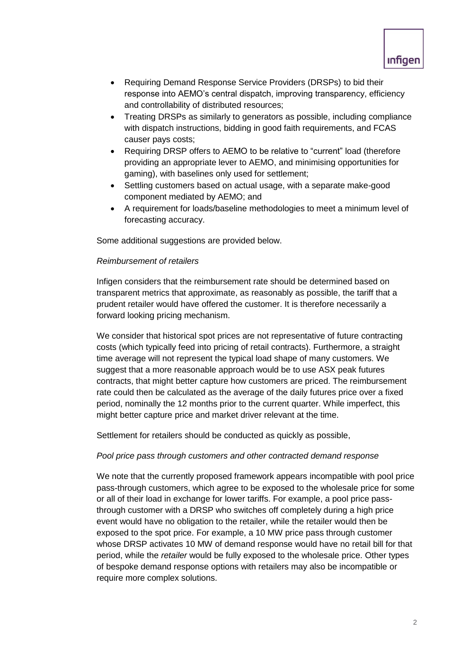

- Requiring Demand Response Service Providers (DRSPs) to bid their response into AEMO's central dispatch, improving transparency, efficiency and controllability of distributed resources;
- Treating DRSPs as similarly to generators as possible, including compliance with dispatch instructions, bidding in good faith requirements, and FCAS causer pays costs;
- Requiring DRSP offers to AEMO to be relative to "current" load (therefore providing an appropriate lever to AEMO, and minimising opportunities for gaming), with baselines only used for settlement;
- Settling customers based on actual usage, with a separate make-good component mediated by AEMO; and
- A requirement for loads/baseline methodologies to meet a minimum level of forecasting accuracy.

Some additional suggestions are provided below.

### *Reimbursement of retailers*

Infigen considers that the reimbursement rate should be determined based on transparent metrics that approximate, as reasonably as possible, the tariff that a prudent retailer would have offered the customer. It is therefore necessarily a forward looking pricing mechanism.

We consider that historical spot prices are not representative of future contracting costs (which typically feed into pricing of retail contracts). Furthermore, a straight time average will not represent the typical load shape of many customers. We suggest that a more reasonable approach would be to use ASX peak futures contracts, that might better capture how customers are priced. The reimbursement rate could then be calculated as the average of the daily futures price over a fixed period, nominally the 12 months prior to the current quarter. While imperfect, this might better capture price and market driver relevant at the time.

Settlement for retailers should be conducted as quickly as possible,

#### *Pool price pass through customers and other contracted demand response*

We note that the currently proposed framework appears incompatible with pool price pass-through customers, which agree to be exposed to the wholesale price for some or all of their load in exchange for lower tariffs. For example, a pool price passthrough customer with a DRSP who switches off completely during a high price event would have no obligation to the retailer, while the retailer would then be exposed to the spot price. For example, a 10 MW price pass through customer whose DRSP activates 10 MW of demand response would have no retail bill for that period, while the *retailer* would be fully exposed to the wholesale price. Other types of bespoke demand response options with retailers may also be incompatible or require more complex solutions.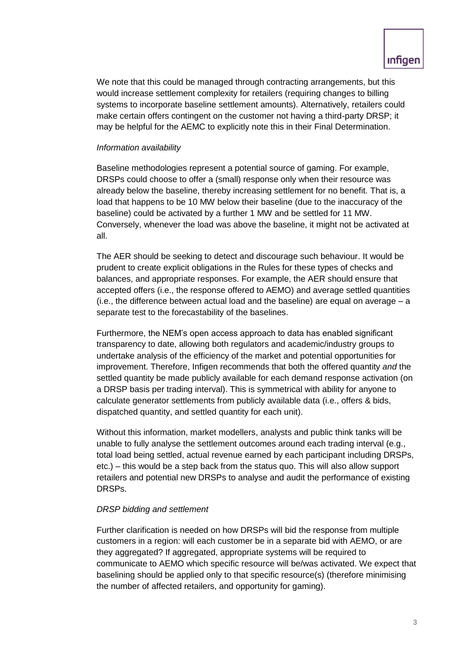We note that this could be managed through contracting arrangements, but this would increase settlement complexity for retailers (requiring changes to billing systems to incorporate baseline settlement amounts). Alternatively, retailers could make certain offers contingent on the customer not having a third-party DRSP; it may be helpful for the AEMC to explicitly note this in their Final Determination.

## *Information availability*

Baseline methodologies represent a potential source of gaming. For example, DRSPs could choose to offer a (small) response only when their resource was already below the baseline, thereby increasing settlement for no benefit. That is, a load that happens to be 10 MW below their baseline (due to the inaccuracy of the baseline) could be activated by a further 1 MW and be settled for 11 MW. Conversely, whenever the load was above the baseline, it might not be activated at all.

The AER should be seeking to detect and discourage such behaviour. It would be prudent to create explicit obligations in the Rules for these types of checks and balances, and appropriate responses. For example, the AER should ensure that accepted offers (i.e., the response offered to AEMO) and average settled quantities (i.e., the difference between actual load and the baseline) are equal on average – a separate test to the forecastability of the baselines.

Furthermore, the NEM's open access approach to data has enabled significant transparency to date, allowing both regulators and academic/industry groups to undertake analysis of the efficiency of the market and potential opportunities for improvement. Therefore, Infigen recommends that both the offered quantity *and* the settled quantity be made publicly available for each demand response activation (on a DRSP basis per trading interval). This is symmetrical with ability for anyone to calculate generator settlements from publicly available data (i.e., offers & bids, dispatched quantity, and settled quantity for each unit).

Without this information, market modellers, analysts and public think tanks will be unable to fully analyse the settlement outcomes around each trading interval (e.g., total load being settled, actual revenue earned by each participant including DRSPs, etc.) – this would be a step back from the status quo. This will also allow support retailers and potential new DRSPs to analyse and audit the performance of existing DRSPs.

### *DRSP bidding and settlement*

Further clarification is needed on how DRSPs will bid the response from multiple customers in a region: will each customer be in a separate bid with AEMO, or are they aggregated? If aggregated, appropriate systems will be required to communicate to AEMO which specific resource will be/was activated. We expect that baselining should be applied only to that specific resource(s) (therefore minimising the number of affected retailers, and opportunity for gaming).